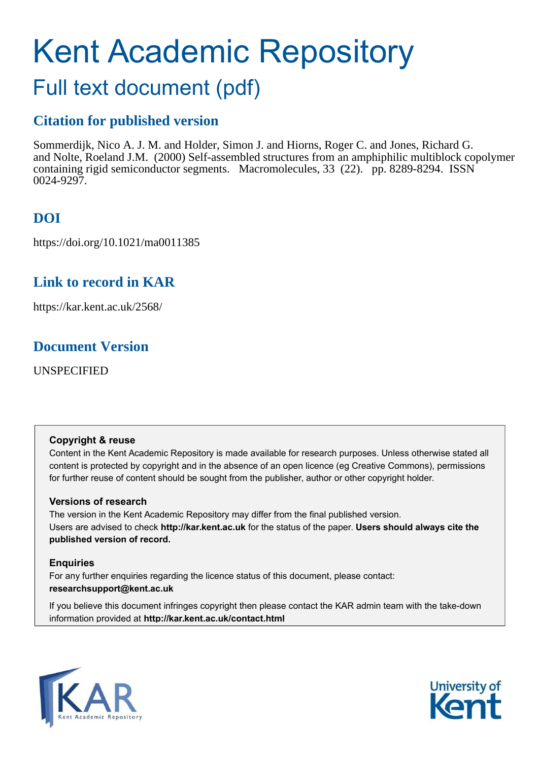# Kent Academic Repository

# Full text document (pdf)

# **Citation for published version**

Sommerdijk, Nico A. J. M. and Holder, Simon J. and Hiorns, Roger C. and Jones, Richard G. and Nolte, Roeland J.M. (2000) Self-assembled structures from an amphiphilic multiblock copolymer containing rigid semiconductor segments. Macromolecules, 33 (22). pp. 8289-8294. ISSN 0024-9297.

# **DOI**

https://doi.org/10.1021/ma0011385

# **Link to record in KAR**

https://kar.kent.ac.uk/2568/

# **Document Version**

UNSPECIFIED

## **Copyright & reuse**

Content in the Kent Academic Repository is made available for research purposes. Unless otherwise stated all content is protected by copyright and in the absence of an open licence (eg Creative Commons), permissions for further reuse of content should be sought from the publisher, author or other copyright holder.

## **Versions of research**

The version in the Kent Academic Repository may differ from the final published version. Users are advised to check **http://kar.kent.ac.uk** for the status of the paper. **Users should always cite the published version of record.**

## **Enquiries**

For any further enquiries regarding the licence status of this document, please contact: **researchsupport@kent.ac.uk**

If you believe this document infringes copyright then please contact the KAR admin team with the take-down information provided at **http://kar.kent.ac.uk/contact.html**



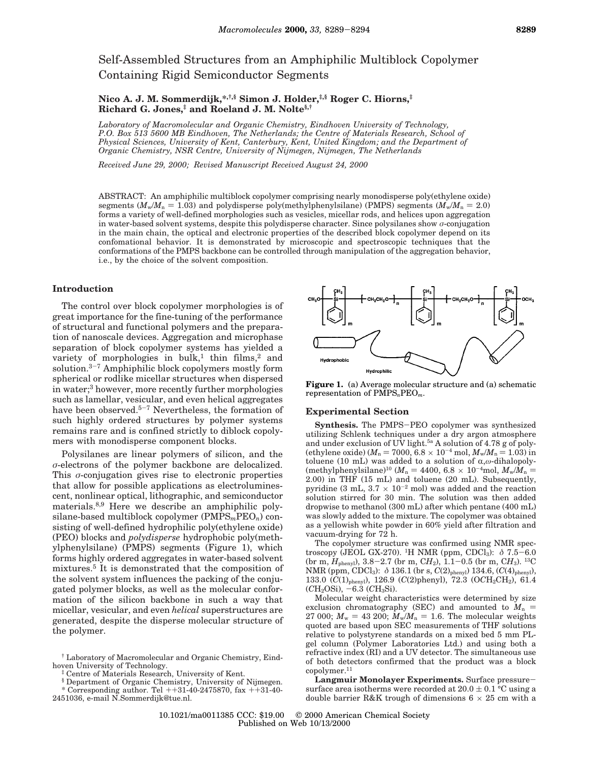Self-Assembled Structures from an Amphiphilic Multiblock Copolymer Containing Rigid Semiconductor Segments

**Nico A. J. M. Sommerdijk,\*,†,§ Simon J. Holder,‡,§ Roger C. Hiorns,‡ Richard G. Jones,‡ and Roeland J. M. Nolte§,†**

*Laboratory of Macromolecular and Organic Chemistry, Eindhoven University of Technology, P.O. Box 513 5600 MB Eindhoven, The Netherlands; the Centre of Materials Research, School of Physical Sciences, University of Kent, Canterbury, Kent, United Kingdom; and the Department of Organic Chemistry, NSR Centre, University of Nijmegen, Nijmegen, The Netherlands*

*Received June 29, 2000; Revised Manuscript Received August 24, 2000*

ABSTRACT: An amphiphilic multiblock copolymer comprising nearly monodisperse poly(ethylene oxide) segments  $(M_w/M_p = 1.03)$  and polydisperse poly(methylphenylsilane) (PMPS) segments  $(M_w/M_p = 2.0)$ forms a variety of well-defined morphologies such as vesicles, micellar rods, and helices upon aggregation in water-based solvent systems, despite this polydisperse character. Since polysilanes show  $\sigma$ -conjugation in the main chain, the optical and electronic properties of the described block copolymer depend on its confomational behavior. It is demonstrated by microscopic and spectroscopic techniques that the conformations of the PMPS backbone can be controlled through manipulation of the aggregation behavior, i.e., by the choice of the solvent composition.

#### **Introduction**

The control over block copolymer morphologies is of great importance for the fine-tuning of the performance of structural and functional polymers and the preparation of nanoscale devices. Aggregation and microphase separation of block copolymer systems has yielded a variety of morphologies in bulk,<sup>1</sup> thin films,<sup>2</sup> and solution.<sup>3</sup>-<sup>7</sup> Amphiphilic block copolymers mostly form spherical or rodlike micellar structures when dispersed in water;<sup>3</sup> however, more recently further morphologies such as lamellar, vesicular, and even helical aggregates have been observed.<sup>5-7</sup> Nevertheless, the formation of such highly ordered structures by polymer systems remains rare and is confined strictly to diblock copolymers with monodisperse component blocks.

Polysilanes are linear polymers of silicon, and the σ-electrons of the polymer backbone are delocalized. This  $\sigma$ -conjugation gives rise to electronic properties that allow for possible applications as electroluminescent, nonlinear optical, lithographic, and semiconductor materials.8,9 Here we describe an amphiphilic polysilane-based multiblock copolymer (PMPS*m*PEO*n*) consisting of well-defined hydrophilic poly(ethylene oxide) (PEO) blocks and *polydisperse* hydrophobic poly(methylphenylsilane) (PMPS) segments (Figure 1), which forms highly ordered aggregates in water-based solvent mixtures.<sup>5</sup> It is demonstrated that the composition of the solvent system influences the packing of the conjugated polymer blocks, as well as the molecular conformation of the silicon backbone in such a way that micellar, vesicular, and even *helical* superstructures are generated, despite the disperse molecular structure of the polymer.

§ Department of Organic Chemistry, University of Nijmegen.

\* Corresponding author. Tel  $++31-40-2475870$ , fax  $++31-40-$ 2451036, e-mail N.Sommerdijk@tue.nl.



**Figure 1.** (a) Average molecular structure and (a) schematic representation of PMPS*n*PEO*m*.

## **Experimental Section**

**Synthesis.** The PMPS-PEO copolymer was synthesized utilizing Schlenk techniques under a dry argon atmosphere and under exclusion of UV light.<sup>5a</sup> A solution of 4.78 g of poly-(ethylene oxide) ( $M_n = 7000$ ,  $6.8 \times 10^{-4}$  mol,  $M_w/M_n = 1.03$ ) in toluene (10 mL) was added to a solution of  $\alpha, \omega$ -dihalopoly-(methylphenylsilane)<sup>10</sup> ( $M_n = 4400, 6.8 \times 10^{-4}$ mol,  $M_w/M_n =$ 2.00) in THF (15 mL) and toluene (20 mL). Subsequently, pyridine (3 mL,  $3.7 \times 10^{-2}$  mol) was added and the reaction solution stirred for 30 min. The solution was then added dropwise to methanol (300 mL) after which pentane (400 mL) was slowly added to the mixture. The copolymer was obtained as a yellowish white powder in 60% yield after filtration and vacuum-drying for 72 h.

The copolymer structure was confirmed using NMR spectroscopy (JEOL GX-270). <sup>1</sup>H NMR (ppm, CDCl<sub>3</sub>):  $\delta$  7.5–6.0 (br m, *H*phenyl), 3.8-2.7 (br m, C*H*2), 1.1-0.5 (br m, C*H*3). <sup>13</sup>C NMR (ppm, CDCl3): δ 136.1 (br s, *C*(2)phenyl) 134.6, (*C*(4)phenyl), 133.0 (*C*(1)phenyl), 126.9 (*C*(2)phenyl), 72.3 (O*C*H2CH2), 61.4  $(CH_2OSi)$ ,  $-6.3$   $(CH_3Si)$ .

Molecular weight characteristics were determined by size exclusion chromatography (SEC) and amounted to  $M_n$  = 27 000;  $M_w = 43 200$ ;  $M_w/M_n = 1.6$ . The molecular weights quoted are based upon SEC measurements of THF solutions relative to polystyrene standards on a mixed bed 5 mm PLgel column (Polymer Laboratories Ltd.) and using both a refractive index (RI) and a UV detector. The simultaneous use of both detectors confirmed that the product was a block copolymer.<sup>11</sup>

**Langmuir Monolayer Experiments.** Surface pressuresurface area isotherms were recorded at  $20.0 \pm 0.1$  °C using a double barrier R&K trough of dimensions  $6 \times 25$  cm with a

<sup>†</sup> Laboratory of Macromolecular and Organic Chemistry, Eindhoven University of Technology.

Centre of Materials Research, University of Kent.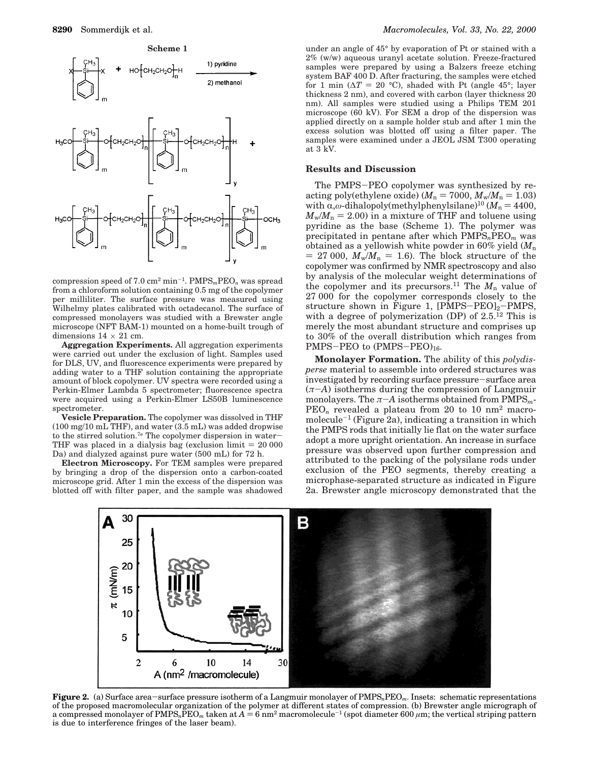

compression speed of 7.0 cm<sup>2</sup> min-<sup>1</sup> . PMPS*m*PEO*<sup>n</sup>* was spread from a chloroform solution containing 0.5 mg of the copolymer per milliliter. The surface pressure was measured using Wilhelmy plates calibrated with octadecanol. The surface of compressed monolayers was studied with a Brewster angle microscope (NFT BAM-1) mounted on a home-built trough of dimensions  $14 \times 21$  cm.

**Aggregation Experiments.** All aggregation experiments were carried out under the exclusion of light. Samples used for DLS, UV, and fluorescence experiments were prepared by adding water to a THF solution containing the appropriate amount of block copolymer. UV spectra were recorded using a Perkin-Elmer Lambda 5 spectrometer; fluorescence spectra were acquired using a Perkin-Elmer LS50B luminescence spectrometer.

**Vesicle Preparation.** The copolymer was dissolved in THF  $(100 \text{ mg}/10 \text{ mL}$  THF), and water  $(3.5 \text{ mL})$  was added dropwise to the stirred solution.7e The copolymer dispersion in water-THF was placed in a dialysis bag (exclusion limit  $= 20 000$ Da) and dialyzed against pure water (500 mL) for 72 h.

**Electron Microscopy.** For TEM samples were prepared by bringing a drop of the dispersion onto a carbon-coated microscope grid. After 1 min the excess of the dispersion was blotted off with filter paper, and the sample was shadowed

under an angle of 45° by evaporation of Pt or stained with a 2% (w/w) aqueous uranyl acetate solution. Freeze-fractured samples were prepared by using a Balzers freeze etching system BAF 400 D. After fracturing, the samples were etched for 1 min ( $\Delta T = 20$  °C), shaded with Pt (angle 45°; layer thickness 2 nm), and covered with carbon (layer thickness 20 nm). All samples were studied using a Philips TEM 201 microscope (60 kV). For SEM a drop of the dispersion was applied directly on a sample holder stub and after 1 min the excess solution was blotted off using a filter paper. The samples were examined under a JEOL JSM T300 operating at 3 kV.

## **Results and Discussion**

The PMPS-PEO copolymer was synthesized by reacting poly(ethylene oxide) ( $M_n = 7000$ ,  $M_w/M_n = 1.03$ ) with  $\alpha, \omega$ -dihalopoly(methylphenylsilane)<sup>10</sup> ( $M_n = 4400$ ,  $M_{\text{w}}/M_{\text{n}} = 2.00$  in a mixture of THF and toluene using pyridine as the base (Scheme 1). The polymer was precipitated in pentane after which PMPS*n*PEO*<sup>m</sup>* was obtained as a yellowish white powder in 60% yield (*M*<sup>n</sup>  $= 27000$ ,  $M_w/M_n = 1.6$ ). The block structure of the copolymer was confirmed by NMR spectroscopy and also by analysis of the molecular weight determinations of the copolymer and its precursors.<sup>11</sup> The  $M_n$  value of 27 000 for the copolymer corresponds closely to the structure shown in Figure 1,  $[PMPS-PEO]_2-PMPS$ , with a degree of polymerization (DP) of 2.5.<sup>12</sup> This is merely the most abundant structure and comprises up to 30% of the overall distribution which ranges from PMPS-PEO to  $(PMPS-PEO)_{16}$ .

**Monolayer Formation.** The ability of this *polydisperse* material to assemble into ordered structures was investigated by recording surface pressure-surface area  $(\pi$ -*A*) isotherms during the compression of Langmuir monolayers. The  $\pi$ -*A* isotherms obtained from  $PMPS<sub>m</sub>$ -PEO*<sup>n</sup>* revealed a plateau from 20 to 10 nm<sup>2</sup> macromolecule-<sup>1</sup> (Figure 2a), indicating a transition in which the PMPS rods that initially lie flat on the water surface adopt a more upright orientation. An increase in surface pressure was observed upon further compression and attributed to the packing of the polysilane rods under exclusion of the PEO segments, thereby creating a microphase-separated structure as indicated in Figure 2a. Brewster angle microscopy demonstrated that the



**Figure 2.** (a) Surface area-surface pressure isotherm of a Langmuir monolayer of PMPS*n*PEO*m*. Insets: schematic representations of the proposed macromolecular organization of the polymer at different states of compression. (b) Brewster angle micrograph of a compressed monolayer of  $\mathrm{PMPS}_n\bar{\mathrm{PEO}}_m$  taken at  $A=6$  nm<sup>2</sup> macromolecule<sup>-1</sup> (spot diameter 600  $\mu$ m; the vertical striping pattern is due to interference fringes of the laser beam).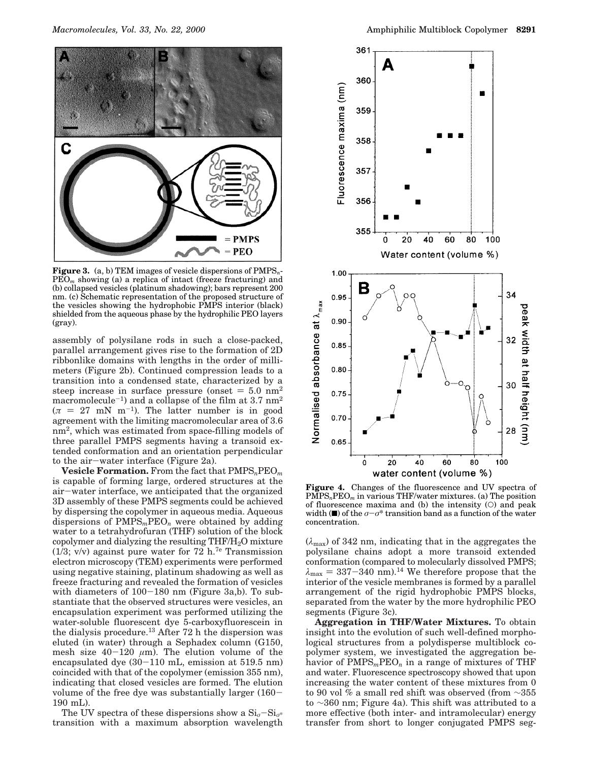

**Figure 3.** (a, b) TEM images of vesicle dispersions of PMPS*n*-PEO*<sup>m</sup>* showing (a) a replica of intact (freeze fracturing) and (b) collapsed vesicles (platinum shadowing); bars represent 200 nm. (c) Schematic representation of the proposed structure of the vesicles showing the hydrophobic PMPS interior (black) shielded from the aqueous phase by the hydrophilic PEO layers (gray).

assembly of polysilane rods in such a close-packed, parallel arrangement gives rise to the formation of 2D ribbonlike domains with lengths in the order of millimeters (Figure 2b). Continued compression leads to a transition into a condensed state, characterized by a steep increase in surface pressure (onset  $= 5.0$  nm<sup>2</sup> macromolecule<sup>-1</sup>) and a collapse of the film at  $3.7~\text{nm}^2$  $(\pi = 27 \text{ mN m}^{-1})$ . The latter number is in good agreement with the limiting macromolecular area of 3.6 nm<sup>2</sup> , which was estimated from space-filling models of three parallel PMPS segments having a transoid extended conformation and an orientation perpendicular to the air-water interface (Figure 2a).

**Vesicle Formation.** From the fact that PMPS*n*PEO*<sup>m</sup>* is capable of forming large, ordered structures at the air-water interface, we anticipated that the organized 3D assembly of these PMPS segments could be achieved by dispersing the copolymer in aqueous media. Aqueous dispersions of PMPS*m*PEO*<sup>n</sup>* were obtained by adding water to a tetrahydrofuran (THF) solution of the block copolymer and dialyzing the resulting THF/H2O mixture (1/3; v/v) against pure water for  $72$  h.<sup>7e</sup> Transmission electron microscopy (TEM) experiments were performed using negative staining, platinum shadowing as well as freeze fracturing and revealed the formation of vesicles with diameters of 100-180 nm (Figure 3a,b). To substantiate that the observed structures were vesicles, an encapsulation experiment was performed utilizing the water-soluble fluorescent dye 5-carboxyfluorescein in the dialysis procedure.<sup>13</sup> After 72 h the dispersion was eluted (in water) through a Sephadex column (G150, mesh size  $40-120 \mu m$ ). The elution volume of the encapsulated dye (30-110 mL, emission at 519.5 nm) coincided with that of the copolymer (emission 355 nm), indicating that closed vesicles are formed. The elution volume of the free dye was substantially larger (160- 190 mL).

The UV spectra of these dispersions show a  $\text{Si}_q-\text{Si}_{q^*}$ transition with a maximum absorption wavelength



**Figure 4.** Changes of the fluorescence and UV spectra of PMPS*n*PEO*<sup>m</sup>* in various THF/water mixtures. (a) The position of fluorescence maxima and (b) the intensity  $(O)$  and peak width ( $\blacksquare$ ) of the  $\sigma-\sigma^*$  transition band as a function of the water concentration.

 $(\lambda_{\text{max}})$  of 342 nm, indicating that in the aggregates the polysilane chains adopt a more transoid extended conformation (compared to molecularly dissolved PMPS;  $\lambda_{\text{max}} = 337 - 340 \text{ nm}$ .<sup>14</sup> We therefore propose that the interior of the vesicle membranes is formed by a parallel arrangement of the rigid hydrophobic PMPS blocks, separated from the water by the more hydrophilic PEO segments (Figure 3c).

**Aggregation in THF/Water Mixtures.** To obtain insight into the evolution of such well-defined morphological structures from a polydisperse multiblock copolymer system, we investigated the aggregation behavior of PMPS*m*PEO*<sup>n</sup>* in a range of mixtures of THF and water. Fluorescence spectroscopy showed that upon increasing the water content of these mixtures from 0 to 90 vol % a small red shift was observed (from ∼355 to ∼360 nm; Figure 4a). This shift was attributed to a more effective (both inter- and intramolecular) energy transfer from short to longer conjugated PMPS seg-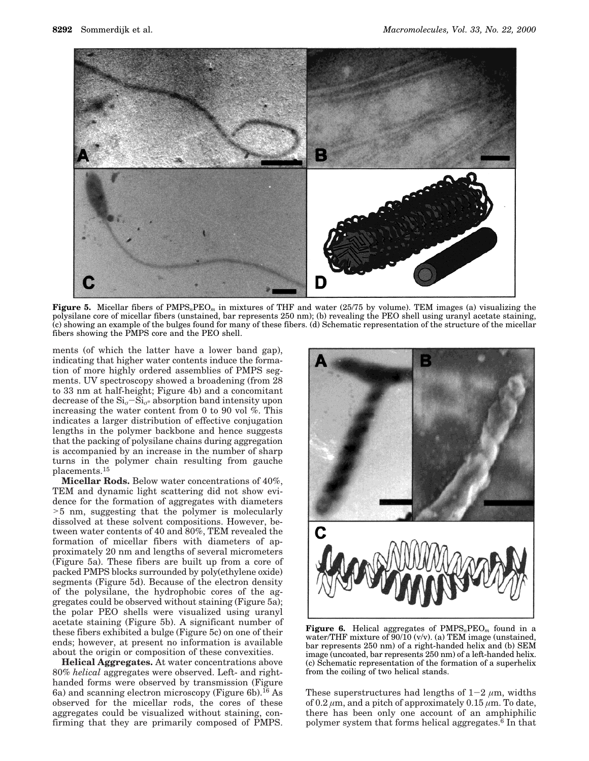

**Figure 5.** Micellar fibers of PMPS*n*PEO*<sup>m</sup>* in mixtures of THF and water (25/75 by volume). TEM images (a) visualizing the polysilane core of micellar fibers (unstained, bar represents 250 nm); (b) revealing the PEO shell using uranyl acetate staining, (c) showing an example of the bulges found for many of these fibers. (d) Schematic representation of the structure of the micellar fibers showing the PMPS core and the PEO shell.

ments (of which the latter have a lower band gap), indicating that higher water contents induce the formation of more highly ordered assemblies of PMPS segments. UV spectroscopy showed a broadening (from 28 to 33 nm at half-height; Figure 4b) and a concomitant decrease of the  $\mathrm{Si}_{\sigma} - \mathrm{Si}_{\sigma^*}$  absorption band intensity upon increasing the water content from 0 to 90 vol %. This indicates a larger distribution of effective conjugation lengths in the polymer backbone and hence suggests that the packing of polysilane chains during aggregation is accompanied by an increase in the number of sharp turns in the polymer chain resulting from gauche placements.<sup>15</sup>

**Micellar Rods.** Below water concentrations of 40%, TEM and dynamic light scattering did not show evidence for the formation of aggregates with diameters >5 nm, suggesting that the polymer is molecularly dissolved at these solvent compositions. However, between water contents of 40 and 80%, TEM revealed the formation of micellar fibers with diameters of approximately 20 nm and lengths of several micrometers (Figure 5a). These fibers are built up from a core of packed PMPS blocks surrounded by poly(ethylene oxide) segments (Figure 5d). Because of the electron density of the polysilane, the hydrophobic cores of the aggregates could be observed without staining (Figure 5a); the polar PEO shells were visualized using uranyl acetate staining (Figure 5b). A significant number of these fibers exhibited a bulge (Figure 5c) on one of their ends; however, at present no information is available about the origin or composition of these convexities.

**Helical Aggregates.** At water concentrations above 80% *helical* aggregates were observed. Left- and righthanded forms were observed by transmission (Figure 6a) and scanning electron microscopy (Figure 6b).<sup>16</sup> As observed for the micellar rods, the cores of these aggregates could be visualized without staining, confirming that they are primarily composed of PMPS.



**Figure 6.** Helical aggregates of PMPS*n*PEO*<sup>m</sup>* found in a water/THF mixture of  $90/10$  (v/v). (a) TEM image (unstained, bar represents 250 nm) of a right-handed helix and (b) SEM image (uncoated, bar represents 250 nm) of a left-handed helix. (c) Schematic representation of the formation of a superhelix from the coiling of two helical stands.

These superstructures had lengths of  $1-2 \mu m$ , widths of 0.2  $\mu$ m, and a pitch of approximately 0.15  $\mu$ m. To date, there has been only one account of an amphiphilic polymer system that forms helical aggregates.<sup>6</sup> In that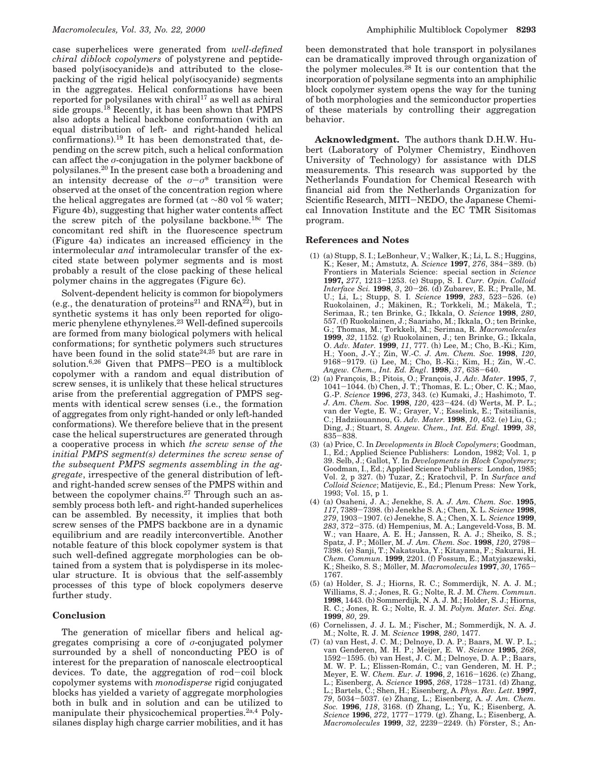case superhelices were generated from *well-defined chiral diblock copolymers* of polystyrene and peptidebased poly(isocyanide)s and attributed to the closepacking of the rigid helical poly(isocyanide) segments in the aggregates. Helical conformations have been reported for polysilanes with chiral $17$  as well as achiral side groups.<sup>18</sup> Recently, it has been shown that PMPS also adopts a helical backbone conformation (with an equal distribution of left- and right-handed helical confirmations).<sup>19</sup> It has been demonstrated that, depending on the screw pitch, such a helical conformation can affect the σ-conjugation in the polymer backbone of polysilanes.<sup>20</sup> In the present case both a broadening and an intensity decrease of the  $\sigma-\sigma^*$  transition were observed at the onset of the concentration region where the helical aggregates are formed (at ∼80 vol % water; Figure 4b), suggesting that higher water contents affect the screw pitch of the polysilane backbone.18c The concomitant red shift in the fluorescence spectrum (Figure 4a) indicates an increased efficiency in the intermolecular *and* intramolecular transfer of the excited state between polymer segments and is most probably a result of the close packing of these helical polymer chains in the aggregates (Figure 6c).

Solvent-dependent helicity is common for biopolymers (e.g., the denaturation of proteins<sup>21</sup> and  $\text{RNA}^{22}$ ), but in synthetic systems it has only been reported for oligomeric phenylene ethynylenes.<sup>23</sup> Well-defined supercoils are formed from many biological polymers with helical conformations; for synthetic polymers such structures have been found in the solid state<sup>24,25</sup> but are rare in solution.6,26 Given that PMPS-PEO is a multiblock copolymer with a random and equal distribution of screw senses, it is unlikely that these helical structures arise from the preferential aggregation of PMPS segments with identical screw senses (i.e., the formation of aggregates from only right-handed or only left-handed conformations). We therefore believe that in the present case the helical superstructures are generated through a cooperative process in which *the screw sense of the initial PMPS segment(s) determines the screw sense of the subsequent PMPS segments assembling in the aggregate*, irrespective of the general distribution of leftand right-handed screw senses of the PMPS within and between the copolymer chains.<sup>27</sup> Through such an assembly process both left- and right-handed superhelices can be assembled. By necessity, it implies that both screw senses of the PMPS backbone are in a dynamic equilibrium and are readily interconvertible. Another notable feature of this block copolymer system is that such well-defined aggregate morphologies can be obtained from a system that is polydisperse in its molecular structure. It is obvious that the self-assembly processes of this type of block copolymers deserve further study.

#### **Conclusion**

The generation of micellar fibers and helical aggregates comprising a core of  $\sigma$ -conjugated polymer surrounded by a shell of nonconducting PEO is of interest for the preparation of nanoscale electrooptical devices. To date, the aggregation of rod-coil block copolymer systems with *monodisperse* rigid conjugated blocks has yielded a variety of aggregate morphologies both in bulk and in solution and can be utilized to manipulate their physicochemical properties.<sup>2a,4</sup> Polysilanes display high charge carrier mobilities, and it has

been demonstrated that hole transport in polysilanes can be dramatically improved through organization of the polymer molecules.<sup>28</sup> It is our contention that the incorporation of polysilane segments into an amphiphilic block copolymer system opens the way for the tuning of both morphologies and the semiconductor properties of these materials by controlling their aggregation behavior.

**Acknowledgment.** The authors thank D.H.W. Hubert (Laboratory of Polymer Chemistry, Eindhoven University of Technology) for assistance with DLS measurements. This research was supported by the Netherlands Foundation for Chemical Research with financial aid from the Netherlands Organization for Scientific Research, MITI-NEDO, the Japanese Chemical Innovation Institute and the EC TMR Sisitomas program.

#### **References and Notes**

- (1) (a) Stupp, S. I.; LeBonheur, V.; Walker, K.; Li, L. S.; Huggins, K.; Keser, M.; Amstutz, A. *Science* **1997**, *276*, 384-389. (b) Frontiers in Materials Science: special section in *Science* **1997,** *277*, 1213-1253. (c) Stupp, S. I. *Curr. Opin. Colloid Interface Sci.* **1998**, *3*, 20-26. (d) Zubarev, E. R.; Pralle, M. U.; Li, L.; Stupp, S. I. *Science* **1999**, *283*, 523-526. (e) Ruokolainen, J.; Mäkinen, R.; Torkkeli, M.; Mäkelä, T.; Serimaa, R.; ten Brinke, G.; Ikkala, O. *Science* **1998**, *280*, 557. (f) Ruokolainen, J.; Saariaho, M.; Ikkala, O.; ten Brinke, G.; Thomas, M.; Torkkeli, M.; Serimaa, R. *Macromolecules* **1999**, *32*, 1152. (g) Ruokolainen, J.; ten Brinke, G.; Ikkala, O. *Adv. Mater.* **1999**, *11*, 777. (h) Lee, M.; Cho, B.-Ki.; Kim, H.; Yoon, J.-Y.; Zin, W.-C. *J. Am. Chem. Soc.* **1998**, *120*, 9168-9179. (i) Lee, M.; Cho, B.-Ki.; Kim, H.; Zin, W.-C. *Angew. Chem., Int. Ed. Engl*. **1998**, *37*, 638-640.
- (2) (a) Franc¸ois, B.; Pitois, O.; Franc¸ois, J. *Adv. Mater*. **1995**, *7*, 1041-1044. (b) Chen, J. T.; Thomas, E. L.; Ober, C. K.; Mao, G.-P. *Science* **1996**, *273*, 343. (c) Kumaki, J.; Hashimoto, T. *J. Am. Chem. Soc.* **1998**, *120*, 423-424. (d) Werts, M. P. L.; van der Vegte, E. W.; Grayer, V.; Esselink, E.; Tsitsilianis, C.; Hadziiouannou, G. *Adv. Mater.* **1998**, *10*, 452. (e) Liu, G.; Ding, J.; Stuart, S. *Angew. Chem., Int. Ed. Engl.* **1999**, *38*, 835-838.
- (3) (a) Price, C. In *Developments in Block Copolymers*; Goodman, I., Ed.; Applied Science Publishers: London, 1982; Vol. 1, p 39. Selb, J.; Gallot, Y. In *Developments in Block Copolymers*; Goodman, I., Ed.; Applied Science Publishers: London, 1985; Vol. 2, p 327. (b) Tuzar, Z.; Kratochvil, P. In *Surface and Colloid Science*; Matijevic, E., Ed.; Plenum Press: New York, 1993; Vol. 15, p 1.
- (4) (a) Osaheni, J. A.; Jenekhe, S. A. *J. Am. Chem. Soc*. **1995**, *117*, 7389-7398. (b) Jenekhe S. A.; Chen, X. L. *Science* **1998**, *279*, 1903-1907. (c) Jenekhe, S. A.; Chen, X. L. *Science* **1999**, *283*, 372-375. (d) Hempenius, M. A.; Langeveld-Voss, B. M. W.; van Haare, A. E. H.; Janssen, R. A. J.; Sheiko, S. S.; Spatz, J. P.; Möller, M. *J. Am. Chem. Soc.* 1998, 120, 2798-7398. (e) Sanji, T.; Nakatsuka, Y.; Kitayama, F.; Sakurai, H. *Chem. Commun*. **1999**, 2201. (f) Fossum, E.; Matyjaszewski, K.; Sheiko, S. S.; Möller, M. *Macromolecules* **1997**, 30, 1765-1767.
- (5) (a) Holder, S. J.; Hiorns, R. C.; Sommerdijk, N. A. J. M.; Williams, S. J.; Jones, R. G.; Nolte, R. J. M. *Chem. Commun*. **1998**, 1443. (b) Sommerdijk, N. A. J. M.; Holder, S. J.; Hiorns, R. C.; Jones, R. G.; Nolte, R. J. M. *Polym. Mater. Sci. Eng.* **1999**, *80*, 29.
- (6) Cornelissen, J. J. L. M.; Fischer, M.; Sommerdijk, N. A. J. M.; Nolte, R. J. M. *Science* **1998**, *280*, 1477.
- (7) (a) van Hest, J. C. M.; Delnoye, D. A. P.; Baars, M. W. P. L.; van Genderen, M. H. P.; Meijer, E. W. *Science* **1995**, *268*, 1592-1595. (b) van Hest, J. C. M.; Delnoye, D. A. P.; Baars, M. W. P. L.; Elissen-Román, C.; van Genderen, M. H. P.; Meyer, E. W. *Chem. Eur. J.* **1996**, *2*, 1616-1626. (c) Zhang, L.; Eisenberg, A. *Science* **1995**, *268*, 1728-1731. (d) Zhang, L.; Bartels, C.; Shen, H.; Eisenberg, A. *Phys. Rev. Lett*. **1997**, *79*, 5034-5037. (e) Zhang, L.; Eisenberg, A. *J. Am. Chem. Soc.* **1996**, *118*, 3168. (f) Zhang, L.; Yu, K.; Eisenberg, A. *Science* **1996**, *272*, 1777-1779. (g). Zhang, L.; Eisenberg, A. *Macromolecules* **1999**, 32, 2239-2249. (h) Förster, S.; An-